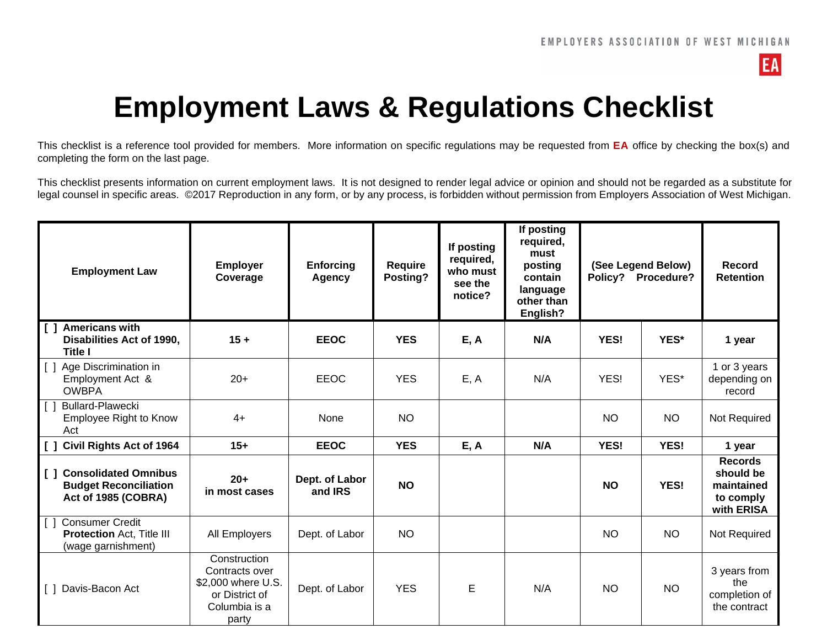

## **Employment Laws & Regulations Checklist**

This checklist is a reference tool provided for members. More information on specific regulations may be requested from **EA** office by checking the box(s) and completing the form on the last page.

This checklist presents information on current employment laws. It is not designed to render legal advice or opinion and should not be regarded as a substitute for legal counsel in specific areas. ©2017 Reproduction in any form, or by any process, is forbidden without permission from Employers Association of West Michigan.

| <b>Employment Law</b>                                                                                    | <b>Employer</b><br>Coverage                                                                      | <b>Enforcing</b><br>Agency | <b>Require</b><br>Posting? | If posting<br>required,<br>who must<br>see the<br>notice? | If posting<br>required,<br>must<br>posting<br>contain<br>language<br>other than<br>English? |           | (See Legend Below)<br>Policy? Procedure? | Record<br><b>Retention</b>                                           |
|----------------------------------------------------------------------------------------------------------|--------------------------------------------------------------------------------------------------|----------------------------|----------------------------|-----------------------------------------------------------|---------------------------------------------------------------------------------------------|-----------|------------------------------------------|----------------------------------------------------------------------|
| <b>Americans with</b><br>$\begin{smallmatrix}1\end{smallmatrix}$<br>Disabilities Act of 1990,<br>Title I | $15 +$                                                                                           | <b>EEOC</b>                | <b>YES</b>                 | E, A                                                      | N/A                                                                                         | YES!      | YES*                                     | 1 year                                                               |
| [ ] Age Discrimination in<br>Employment Act &<br><b>OWBPA</b>                                            | $20+$                                                                                            | <b>EEOC</b>                | <b>YES</b>                 | E, A                                                      | N/A                                                                                         | YES!      | YES*                                     | 1 or 3 years<br>depending on<br>record                               |
| <b>Bullard-Plawecki</b><br>$\lfloor \lceil \ \rfloor$<br>Employee Right to Know<br>Act                   | $4+$                                                                                             | None                       | <b>NO</b>                  |                                                           |                                                                                             | <b>NO</b> | <b>NO</b>                                | Not Required                                                         |
| $\begin{bmatrix} 1 \end{bmatrix}$<br><b>Civil Rights Act of 1964</b>                                     | $15+$                                                                                            | <b>EEOC</b>                | <b>YES</b>                 | E, A                                                      | N/A                                                                                         | YES!      | <b>YES!</b>                              | 1 year                                                               |
| <b>Consolidated Omnibus</b><br>$\Box$<br><b>Budget Reconciliation</b><br>Act of 1985 (COBRA)             | $20+$<br>in most cases                                                                           | Dept. of Labor<br>and IRS  | <b>NO</b>                  |                                                           |                                                                                             | <b>NO</b> | <b>YES!</b>                              | <b>Records</b><br>should be<br>maintained<br>to comply<br>with ERISA |
| <b>Consumer Credit</b><br>l 1 1<br><b>Protection Act, Title III</b><br>(wage garnishment)                | All Employers                                                                                    | Dept. of Labor             | <b>NO</b>                  |                                                           |                                                                                             | <b>NO</b> | <b>NO</b>                                | Not Required                                                         |
| [ ] Davis-Bacon Act                                                                                      | Construction<br>Contracts over<br>\$2,000 where U.S.<br>or District of<br>Columbia is a<br>party | Dept. of Labor             | <b>YES</b>                 | E                                                         | N/A                                                                                         | <b>NO</b> | <b>NO</b>                                | 3 years from<br>the<br>completion of<br>the contract                 |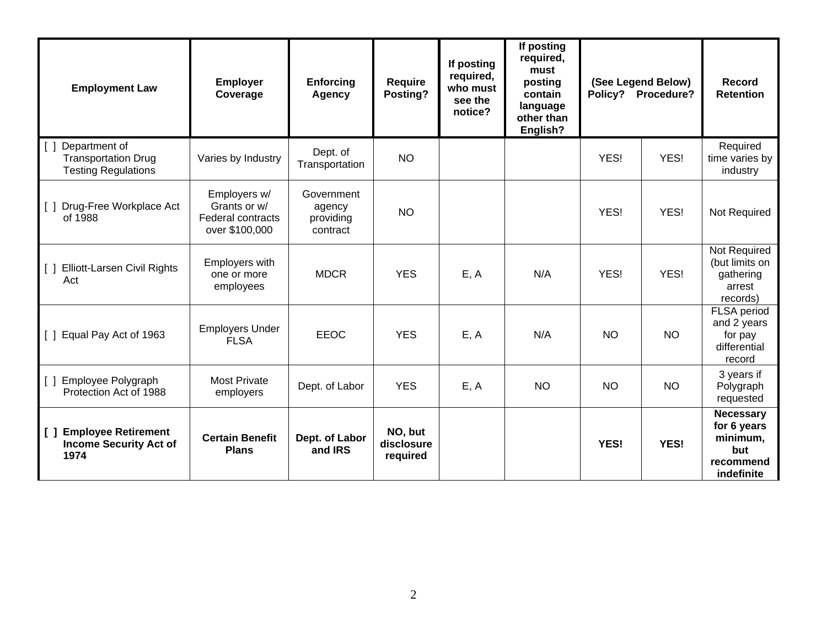| <b>Employment Law</b>                                                        | <b>Employer</b><br>Coverage                                         | <b>Enforcing</b><br><b>Agency</b>             | <b>Require</b><br>Posting?        | If posting<br>required,<br>who must<br>see the<br>notice? | If posting<br>required,<br>must<br>posting<br>contain<br>language<br>other than<br>English? |           | (See Legend Below)<br>Policy? Procedure? | Record<br><b>Retention</b>                                                    |
|------------------------------------------------------------------------------|---------------------------------------------------------------------|-----------------------------------------------|-----------------------------------|-----------------------------------------------------------|---------------------------------------------------------------------------------------------|-----------|------------------------------------------|-------------------------------------------------------------------------------|
| Department of<br><b>Transportation Drug</b><br><b>Testing Regulations</b>    | Varies by Industry                                                  | Dept. of<br>Transportation                    | <b>NO</b>                         |                                                           |                                                                                             | YES!      | YES!                                     | Required<br>time varies by<br>industry                                        |
| Drug-Free Workplace Act<br>HE 1.<br>of 1988                                  | Employers w/<br>Grants or w/<br>Federal contracts<br>over \$100,000 | Government<br>agency<br>providing<br>contract | <b>NO</b>                         |                                                           |                                                                                             | YES!      | YES!                                     | Not Required                                                                  |
| <b>Elliott-Larsen Civil Rights</b><br>$\blacksquare$<br>Act                  | Employers with<br>one or more<br>employees                          | <b>MDCR</b>                                   | <b>YES</b>                        | E, A                                                      | N/A                                                                                         | YES!      | YES!                                     | Not Required<br>(but limits on<br>gathering<br>arrest<br>records)             |
| Equal Pay Act of 1963<br>II.                                                 | <b>Employers Under</b><br><b>FLSA</b>                               | <b>EEOC</b>                                   | <b>YES</b>                        | E, A                                                      | N/A                                                                                         | <b>NO</b> | <b>NO</b>                                | FLSA period<br>and 2 years<br>for pay<br>differential<br>record               |
| Employee Polygraph<br>$\Box$<br>Protection Act of 1988                       | <b>Most Private</b><br>employers                                    | Dept. of Labor                                | <b>YES</b>                        | E, A                                                      | <b>NO</b>                                                                                   | <b>NO</b> | <b>NO</b>                                | 3 years if<br>Polygraph<br>requested                                          |
| <b>Employee Retirement</b><br>l [ ]<br><b>Income Security Act of</b><br>1974 | <b>Certain Benefit</b><br><b>Plans</b>                              | Dept. of Labor<br>and IRS                     | NO, but<br>disclosure<br>required |                                                           |                                                                                             | YES!      | YES!                                     | <b>Necessary</b><br>for 6 years<br>minimum,<br>but<br>recommend<br>indefinite |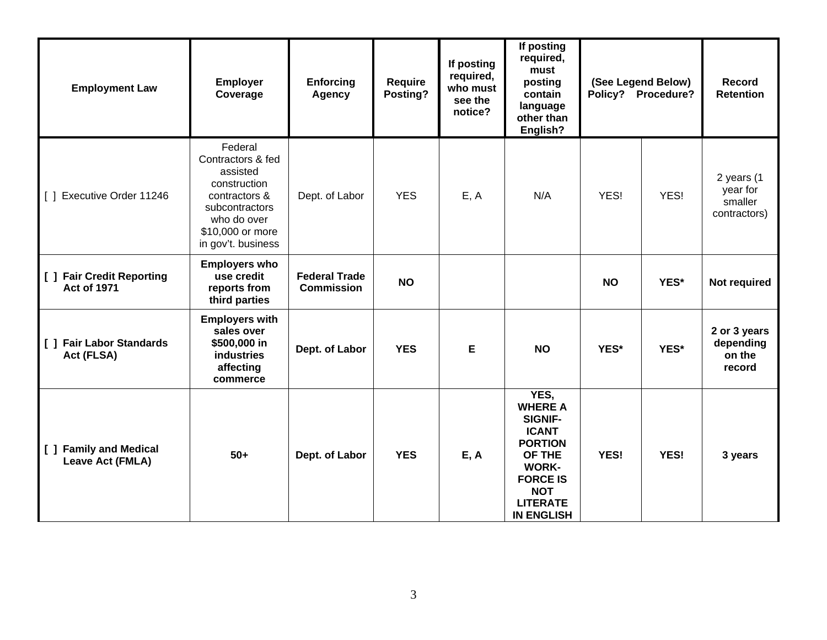| <b>Employment Law</b>                                         | <b>Employer</b><br>Coverage                                                                                                                          | Enforcing<br><b>Agency</b>                | Require<br>Posting? | If posting<br>required,<br>who must<br>see the<br>notice? | If posting<br>required,<br>must<br>posting<br>contain<br>language<br>other than<br>English?                                                                                   |           | (See Legend Below)<br>Policy? Procedure? | <b>Record</b><br><b>Retention</b>                 |
|---------------------------------------------------------------|------------------------------------------------------------------------------------------------------------------------------------------------------|-------------------------------------------|---------------------|-----------------------------------------------------------|-------------------------------------------------------------------------------------------------------------------------------------------------------------------------------|-----------|------------------------------------------|---------------------------------------------------|
| Executive Order 11246<br>$\Box$                               | Federal<br>Contractors & fed<br>assisted<br>construction<br>contractors &<br>subcontractors<br>who do over<br>\$10,000 or more<br>in gov't. business | Dept. of Labor                            | <b>YES</b>          | E, A                                                      | N/A                                                                                                                                                                           | YES!      | YES!                                     | 2 years (1<br>year for<br>smaller<br>contractors) |
| [ ] Fair Credit Reporting<br><b>Act of 1971</b>               | <b>Employers who</b><br>use credit<br>reports from<br>third parties                                                                                  | <b>Federal Trade</b><br><b>Commission</b> | <b>NO</b>           |                                                           |                                                                                                                                                                               | <b>NO</b> | YES*                                     | Not required                                      |
| [ ] Fair Labor Standards<br>Act (FLSA)                        | <b>Employers with</b><br>sales over<br>\$500,000 in<br><b>industries</b><br>affecting<br>commerce                                                    | Dept. of Labor                            | <b>YES</b>          | Е                                                         | <b>NO</b>                                                                                                                                                                     | YES*      | YES*                                     | 2 or 3 years<br>depending<br>on the<br>record     |
| <b>Family and Medical</b><br>$\mathbf{I}$<br>Leave Act (FMLA) | $50+$                                                                                                                                                | Dept. of Labor                            | <b>YES</b>          | E, A                                                      | YES,<br><b>WHERE A</b><br><b>SIGNIF-</b><br><b>ICANT</b><br><b>PORTION</b><br>OF THE<br><b>WORK-</b><br><b>FORCE IS</b><br><b>NOT</b><br><b>LITERATE</b><br><b>IN ENGLISH</b> | YES!      | <b>YES!</b>                              | 3 years                                           |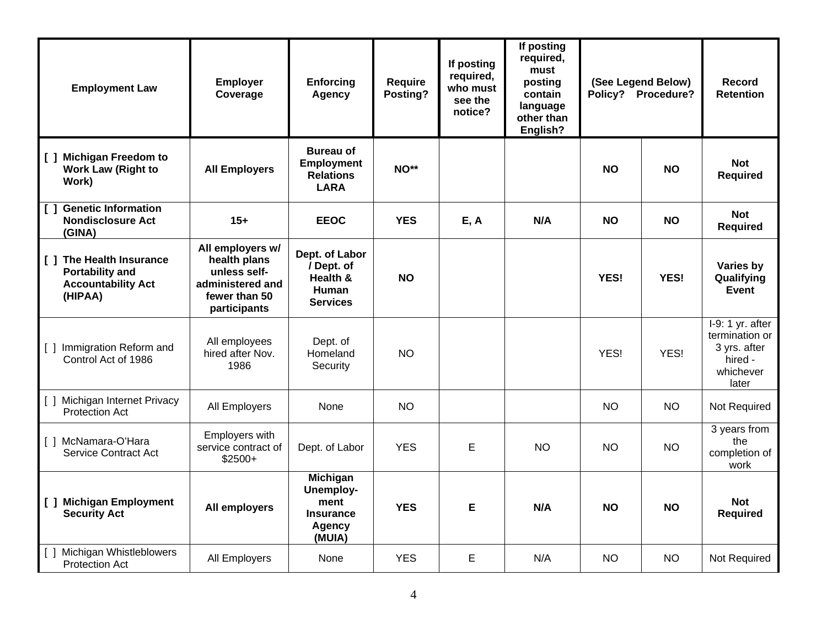| <b>Employment Law</b>                                                                                       | <b>Employer</b><br>Coverage                                                                           | <b>Enforcing</b><br>Agency                                                          | Require<br>Posting? | If posting<br>required,<br>who must<br>see the<br>notice? | If posting<br>required,<br>must<br>posting<br>contain<br>language<br>other than<br>English? |           | (See Legend Below)<br>Policy? Procedure? | Record<br><b>Retention</b>                                                           |
|-------------------------------------------------------------------------------------------------------------|-------------------------------------------------------------------------------------------------------|-------------------------------------------------------------------------------------|---------------------|-----------------------------------------------------------|---------------------------------------------------------------------------------------------|-----------|------------------------------------------|--------------------------------------------------------------------------------------|
| <b>Michigan Freedom to</b><br>$\Box$<br><b>Work Law (Right to</b><br>Work)                                  | <b>All Employers</b>                                                                                  | <b>Bureau of</b><br><b>Employment</b><br><b>Relations</b><br><b>LARA</b>            | NO**                |                                                           |                                                                                             | <b>NO</b> | <b>NO</b>                                | <b>Not</b><br><b>Required</b>                                                        |
| <b>Genetic Information</b><br>$\begin{smallmatrix}1\end{smallmatrix}$<br><b>Nondisclosure Act</b><br>(GINA) | $15+$                                                                                                 | <b>EEOC</b>                                                                         | <b>YES</b>          | E, A                                                      | N/A                                                                                         | <b>NO</b> | <b>NO</b>                                | <b>Not</b><br><b>Required</b>                                                        |
| [ ] The Health Insurance<br><b>Portability and</b><br><b>Accountability Act</b><br>(HIPAA)                  | All employers w/<br>health plans<br>unless self-<br>administered and<br>fewer than 50<br>participants | Dept. of Labor<br>/ Dept. of<br>Health &<br><b>Human</b><br><b>Services</b>         | <b>NO</b>           |                                                           |                                                                                             | YES!      | YES!                                     | Varies by<br>Qualifying<br>Event                                                     |
| [1] Immigration Reform and<br>Control Act of 1986                                                           | All employees<br>hired after Nov.<br>1986                                                             | Dept. of<br>Homeland<br>Security                                                    | <b>NO</b>           |                                                           |                                                                                             | YES!      | YES!                                     | $I-9:1$ yr. after<br>termination or<br>3 yrs. after<br>hired -<br>whichever<br>later |
| [ ] Michigan Internet Privacy<br><b>Protection Act</b>                                                      | All Employers                                                                                         | None                                                                                | <b>NO</b>           |                                                           |                                                                                             | <b>NO</b> | <b>NO</b>                                | Not Required                                                                         |
| [ ] McNamara-O'Hara<br><b>Service Contract Act</b>                                                          | Employers with<br>service contract of<br>$$2500+$                                                     | Dept. of Labor                                                                      | <b>YES</b>          | E                                                         | <b>NO</b>                                                                                   | <b>NO</b> | <b>NO</b>                                | 3 years from<br>the<br>completion of<br>work                                         |
| [ ] Michigan Employment<br><b>Security Act</b>                                                              | All employers                                                                                         | <b>Michigan</b><br><b>Unemploy-</b><br>ment<br><b>Insurance</b><br>Agency<br>(MUIA) | <b>YES</b>          | Е                                                         | N/A                                                                                         | <b>NO</b> | <b>NO</b>                                | <b>Not</b><br><b>Required</b>                                                        |
| [ ] Michigan Whistleblowers<br><b>Protection Act</b>                                                        | All Employers                                                                                         | None                                                                                | <b>YES</b>          | E                                                         | N/A                                                                                         | <b>NO</b> | <b>NO</b>                                | Not Required                                                                         |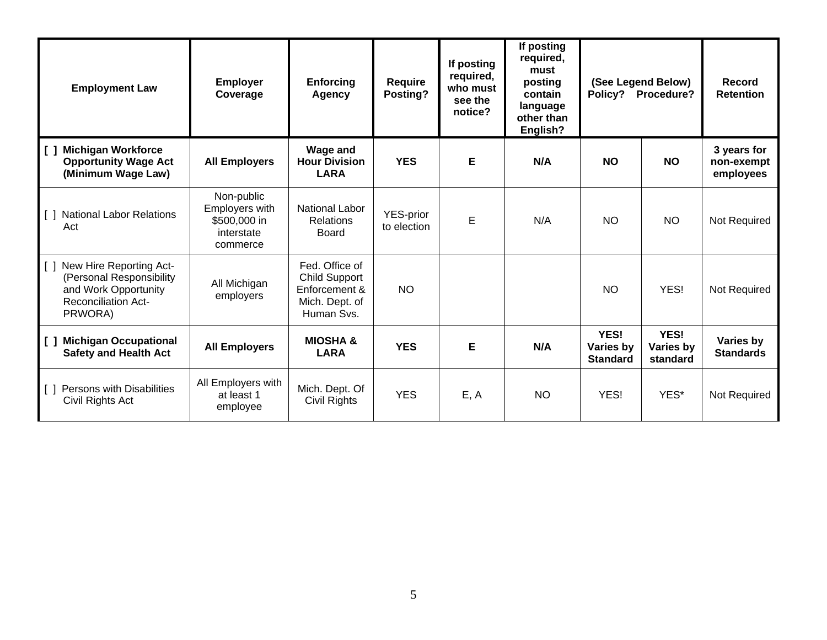| <b>Employment Law</b>                                                                                                                     | <b>Employer</b><br>Coverage                                            | <b>Enforcing</b><br>Agency                                                              | <b>Require</b><br>Posting? | If posting<br>required,<br>who must<br>see the<br>notice? | If posting<br>required,<br>must<br>posting<br>contain<br>language<br>other than<br>English? | Policy?                              | (See Legend Below)<br>Procedure? | <b>Record</b><br><b>Retention</b>      |
|-------------------------------------------------------------------------------------------------------------------------------------------|------------------------------------------------------------------------|-----------------------------------------------------------------------------------------|----------------------------|-----------------------------------------------------------|---------------------------------------------------------------------------------------------|--------------------------------------|----------------------------------|----------------------------------------|
| <b>Michigan Workforce</b><br>$\begin{smallmatrix}1\end{smallmatrix}$<br><b>Opportunity Wage Act</b><br>(Minimum Wage Law)                 | <b>All Employers</b>                                                   | <b>Wage and</b><br><b>Hour Division</b><br><b>LARA</b>                                  | <b>YES</b>                 | Е                                                         | N/A                                                                                         | <b>NO</b>                            | <b>NO</b>                        | 3 years for<br>non-exempt<br>employees |
| <b>National Labor Relations</b><br>$\Box$<br>Act                                                                                          | Non-public<br>Employers with<br>\$500,000 in<br>interstate<br>commerce | <b>National Labor</b><br><b>Relations</b><br><b>Board</b>                               | YES-prior<br>to election   | E                                                         | N/A                                                                                         | <b>NO</b>                            | <b>NO</b>                        | Not Required                           |
| New Hire Reporting Act-<br>$\lceil$ $\rceil$<br>(Personal Responsibility<br>and Work Opportunity<br><b>Reconciliation Act-</b><br>PRWORA) | All Michigan<br>employers                                              | Fed. Office of<br><b>Child Support</b><br>Enforcement &<br>Mich. Dept. of<br>Human Svs. | <b>NO</b>                  |                                                           |                                                                                             | <b>NO</b>                            | YES!                             | Not Required                           |
| <b>Michigan Occupational</b><br>$\Box$<br><b>Safety and Health Act</b>                                                                    | <b>All Employers</b>                                                   | <b>MIOSHA &amp;</b><br><b>LARA</b>                                                      | <b>YES</b>                 | Е                                                         | N/A                                                                                         | YES!<br>Varies by<br><b>Standard</b> | YES!<br>Varies by<br>standard    | Varies by<br><b>Standards</b>          |
| Persons with Disabilities<br>Civil Rights Act                                                                                             | All Employers with<br>at least 1<br>employee                           | Mich. Dept. Of<br>Civil Rights                                                          | <b>YES</b>                 | E, A                                                      | <b>NO</b>                                                                                   | YES!                                 | YES*                             | Not Required                           |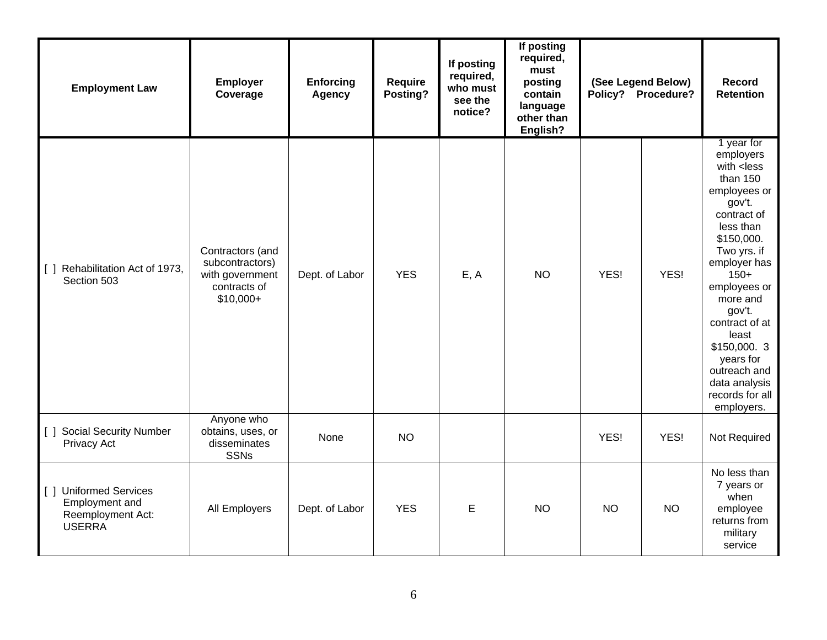| <b>Employment Law</b>                                                          | <b>Employer</b><br>Coverage                                                          | <b>Enforcing</b><br><b>Agency</b> | Require<br>Posting? | If posting<br>required,<br>who must<br>see the<br>notice? | If posting<br>required,<br>must<br>posting<br>contain<br>language<br>other than<br>English? |           | (See Legend Below)<br>Policy? Procedure? | Record<br><b>Retention</b>                                                                                                                                                                                                                                                                                                                                                          |
|--------------------------------------------------------------------------------|--------------------------------------------------------------------------------------|-----------------------------------|---------------------|-----------------------------------------------------------|---------------------------------------------------------------------------------------------|-----------|------------------------------------------|-------------------------------------------------------------------------------------------------------------------------------------------------------------------------------------------------------------------------------------------------------------------------------------------------------------------------------------------------------------------------------------|
| [ ] Rehabilitation Act of 1973,<br>Section 503                                 | Contractors (and<br>subcontractors)<br>with government<br>contracts of<br>$$10,000+$ | Dept. of Labor                    | <b>YES</b>          | E, A                                                      | <b>NO</b>                                                                                   | YES!      | YES!                                     | 1 year for<br>employers<br>with <less<br>than <math>150</math><br/>employees or<br/>gov't.<br/>contract of<br/>less than<br/>\$150,000.<br/>Two yrs. if<br/>employer has<br/><math>150+</math><br/>employees or<br/>more and<br/>gov't.<br/>contract of at<br/>least<br/>\$150,000. 3<br/>years for<br/>outreach and<br/>data analysis<br/>records for all<br/>employers.</less<br> |
| [ ] Social Security Number<br>Privacy Act                                      | Anyone who<br>obtains, uses, or<br>disseminates<br><b>SSNs</b>                       | <b>None</b>                       | <b>NO</b>           |                                                           |                                                                                             | YES!      | YES!                                     | Not Required                                                                                                                                                                                                                                                                                                                                                                        |
| [ ] Uniformed Services<br>Employment and<br>Reemployment Act:<br><b>USERRA</b> | All Employers                                                                        | Dept. of Labor                    | <b>YES</b>          | E                                                         | <b>NO</b>                                                                                   | <b>NO</b> | <b>NO</b>                                | No less than<br>7 years or<br>when<br>employee<br>returns from<br>military<br>service                                                                                                                                                                                                                                                                                               |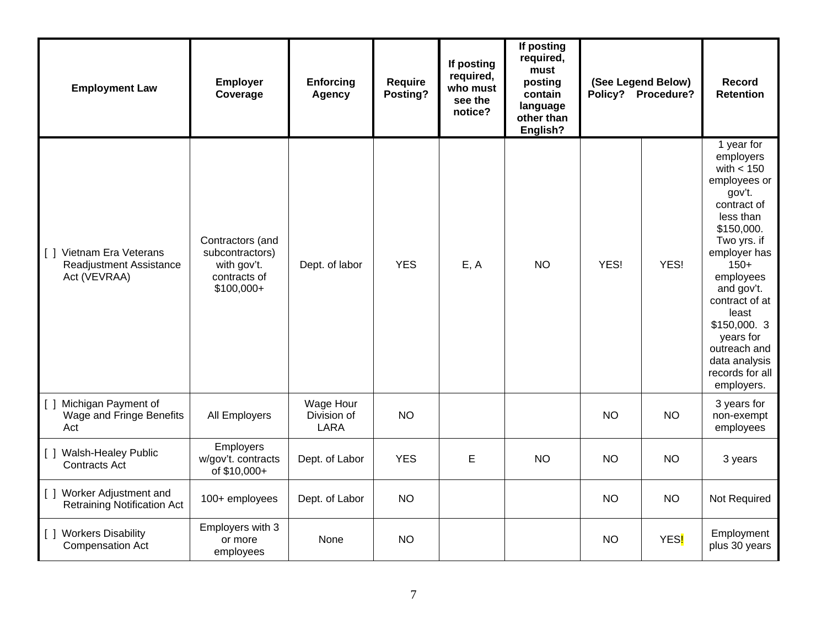| <b>Employment Law</b>                                               | <b>Employer</b><br>Coverage                                                       | <b>Enforcing</b><br><b>Agency</b>       | <b>Require</b><br>Posting? | If posting<br>required,<br>who must<br>see the<br>notice? | If posting<br>required,<br>must<br>posting<br>contain<br>language<br>other than<br>English? |           | (See Legend Below)<br>Policy? Procedure? | Record<br><b>Retention</b>                                                                                                                                                                                                                                                                                |
|---------------------------------------------------------------------|-----------------------------------------------------------------------------------|-----------------------------------------|----------------------------|-----------------------------------------------------------|---------------------------------------------------------------------------------------------|-----------|------------------------------------------|-----------------------------------------------------------------------------------------------------------------------------------------------------------------------------------------------------------------------------------------------------------------------------------------------------------|
| [ ] Vietnam Era Veterans<br>Readjustment Assistance<br>Act (VEVRAA) | Contractors (and<br>subcontractors)<br>with gov't.<br>contracts of<br>$$100,000+$ | Dept. of labor                          | <b>YES</b>                 | E, A                                                      | <b>NO</b>                                                                                   | YES!      | YES!                                     | 1 year for<br>employers<br>with $< 150$<br>employees or<br>gov't.<br>contract of<br>less than<br>\$150,000.<br>Two yrs. if<br>employer has<br>$150+$<br>employees<br>and gov't.<br>contract of at<br>least<br>\$150,000. 3<br>years for<br>outreach and<br>data analysis<br>records for all<br>employers. |
| [ ] Michigan Payment of<br>Wage and Fringe Benefits<br>Act          | All Employers                                                                     | Wage Hour<br>Division of<br><b>LARA</b> | <b>NO</b>                  |                                                           |                                                                                             | <b>NO</b> | <b>NO</b>                                | 3 years for<br>non-exempt<br>employees                                                                                                                                                                                                                                                                    |
| [ ] Walsh-Healey Public<br><b>Contracts Act</b>                     | Employers<br>w/gov't. contracts<br>of \$10,000+                                   | Dept. of Labor                          | <b>YES</b>                 | E                                                         | <b>NO</b>                                                                                   | <b>NO</b> | <b>NO</b>                                | 3 years                                                                                                                                                                                                                                                                                                   |
| [ ] Worker Adjustment and<br><b>Retraining Notification Act</b>     | 100+ employees                                                                    | Dept. of Labor                          | <b>NO</b>                  |                                                           |                                                                                             | <b>NO</b> | <b>NO</b>                                | Not Required                                                                                                                                                                                                                                                                                              |
| [ ] Workers Disability<br><b>Compensation Act</b>                   | Employers with 3<br>or more<br>employees                                          | None                                    | <b>NO</b>                  |                                                           |                                                                                             | <b>NO</b> | YES <mark>!</mark>                       | Employment<br>plus 30 years                                                                                                                                                                                                                                                                               |